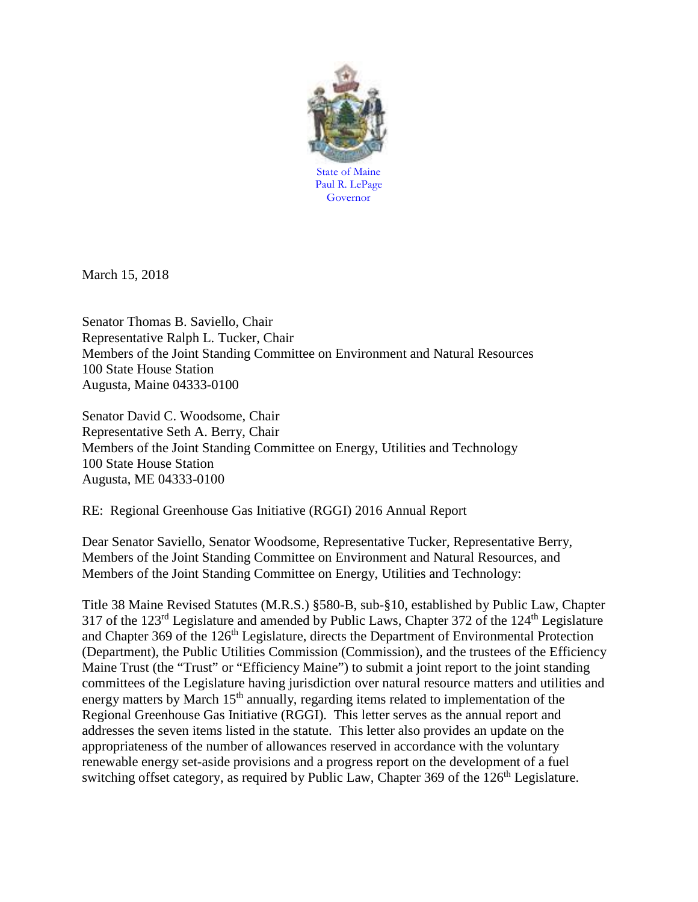

March 15, 2018

Senator Thomas B. Saviello, Chair Representative Ralph L. Tucker, Chair Members of the Joint Standing Committee on Environment and Natural Resources 100 State House Station Augusta, Maine 04333-0100

Senator David C. Woodsome, Chair Representative Seth A. Berry, Chair Members of the Joint Standing Committee on Energy, Utilities and Technology 100 State House Station Augusta, ME 04333-0100

RE: Regional Greenhouse Gas Initiative (RGGI) 2016 Annual Report

Dear Senator Saviello, Senator Woodsome, Representative Tucker, Representative Berry, Members of the Joint Standing Committee on Environment and Natural Resources, and Members of the Joint Standing Committee on Energy, Utilities and Technology:

Title 38 Maine Revised Statutes (M.R.S.) §580-B, sub-§10, established by Public Law, Chapter 317 of the  $123<sup>rd</sup>$  Legislature and amended by Public Laws, Chapter 372 of the  $124<sup>th</sup>$  Legislature and Chapter 369 of the 126<sup>th</sup> Legislature, directs the Department of Environmental Protection (Department), the Public Utilities Commission (Commission), and the trustees of the Efficiency Maine Trust (the "Trust" or "Efficiency Maine") to submit a joint report to the joint standing committees of the Legislature having jurisdiction over natural resource matters and utilities and energy matters by March 15<sup>th</sup> annually, regarding items related to implementation of the Regional Greenhouse Gas Initiative (RGGI). This letter serves as the annual report and addresses the seven items listed in the statute. This letter also provides an update on the appropriateness of the number of allowances reserved in accordance with the voluntary renewable energy set-aside provisions and a progress report on the development of a fuel switching offset category, as required by Public Law, Chapter 369 of the 126<sup>th</sup> Legislature.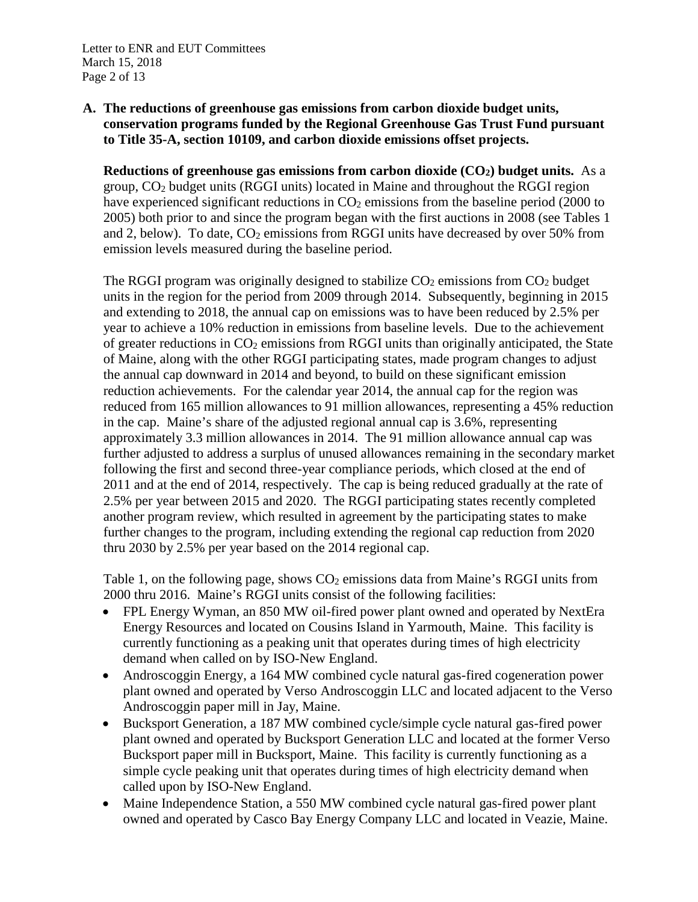#### **A. The reductions of greenhouse gas emissions from carbon dioxide budget units, conservation programs funded by the Regional Greenhouse Gas Trust Fund pursuant to Title 35-A, section 10109, and carbon dioxide emissions offset projects.**

**Reductions of greenhouse gas emissions from carbon dioxide (CO2) budget units.** As a group, CO2 budget units (RGGI units) located in Maine and throughout the RGGI region have experienced significant reductions in  $CO<sub>2</sub>$  emissions from the baseline period (2000 to 2005) both prior to and since the program began with the first auctions in 2008 (see Tables 1 and 2, below). To date,  $CO<sub>2</sub>$  emissions from RGGI units have decreased by over 50% from emission levels measured during the baseline period.

The RGGI program was originally designed to stabilize  $CO<sub>2</sub>$  emissions from  $CO<sub>2</sub>$  budget units in the region for the period from 2009 through 2014. Subsequently, beginning in 2015 and extending to 2018, the annual cap on emissions was to have been reduced by 2.5% per year to achieve a 10% reduction in emissions from baseline levels. Due to the achievement of greater reductions in  $CO<sub>2</sub>$  emissions from RGGI units than originally anticipated, the State of Maine, along with the other RGGI participating states, made program changes to adjust the annual cap downward in 2014 and beyond, to build on these significant emission reduction achievements. For the calendar year 2014, the annual cap for the region was reduced from 165 million allowances to 91 million allowances, representing a 45% reduction in the cap. Maine's share of the adjusted regional annual cap is 3.6%, representing approximately 3.3 million allowances in 2014. The 91 million allowance annual cap was further adjusted to address a surplus of unused allowances remaining in the secondary market following the first and second three-year compliance periods, which closed at the end of 2011 and at the end of 2014, respectively. The cap is being reduced gradually at the rate of 2.5% per year between 2015 and 2020. The RGGI participating states recently completed another program review, which resulted in agreement by the participating states to make further changes to the program, including extending the regional cap reduction from 2020 thru 2030 by 2.5% per year based on the 2014 regional cap.

Table 1, on the following page, shows  $CO<sub>2</sub>$  emissions data from Maine's RGGI units from 2000 thru 2016. Maine's RGGI units consist of the following facilities:

- FPL Energy Wyman, an 850 MW oil-fired power plant owned and operated by NextEra Energy Resources and located on Cousins Island in Yarmouth, Maine. This facility is currently functioning as a peaking unit that operates during times of high electricity demand when called on by ISO-New England.
- Androscoggin Energy, a 164 MW combined cycle natural gas-fired cogeneration power plant owned and operated by Verso Androscoggin LLC and located adjacent to the Verso Androscoggin paper mill in Jay, Maine.
- Bucksport Generation, a 187 MW combined cycle/simple cycle natural gas-fired power plant owned and operated by Bucksport Generation LLC and located at the former Verso Bucksport paper mill in Bucksport, Maine. This facility is currently functioning as a simple cycle peaking unit that operates during times of high electricity demand when called upon by ISO-New England.
- Maine Independence Station, a 550 MW combined cycle natural gas-fired power plant owned and operated by Casco Bay Energy Company LLC and located in Veazie, Maine.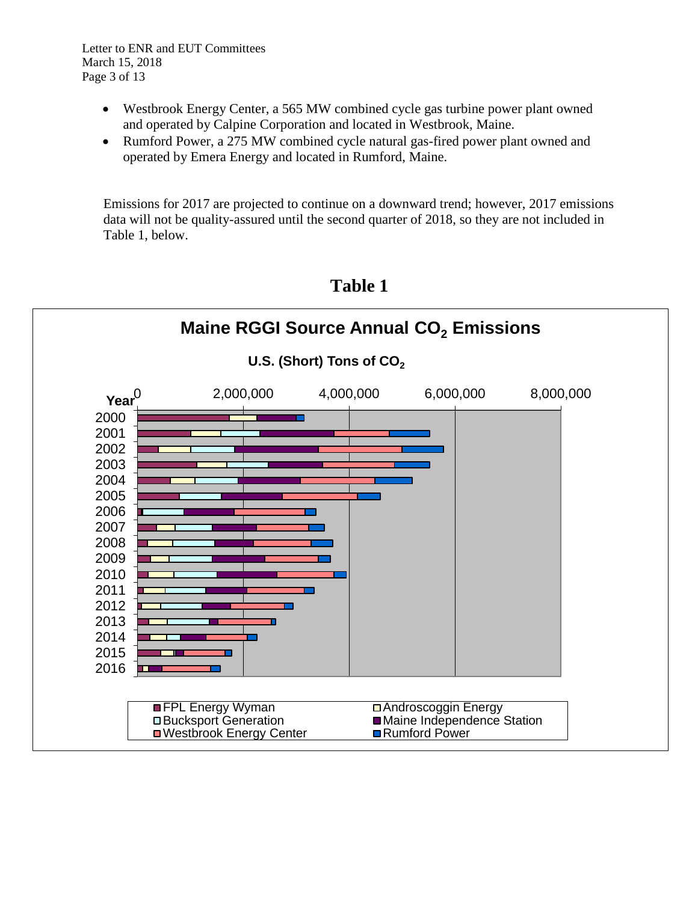Letter to ENR and EUT Committees March 15, 2018 Page 3 of 13

- Westbrook Energy Center, a 565 MW combined cycle gas turbine power plant owned and operated by Calpine Corporation and located in Westbrook, Maine.
- Rumford Power, a 275 MW combined cycle natural gas-fired power plant owned and operated by Emera Energy and located in Rumford, Maine.

Emissions for 2017 are projected to continue on a downward trend; however, 2017 emissions data will not be quality-assured until the second quarter of 2018, so they are not included in Table 1, below.



**Table 1**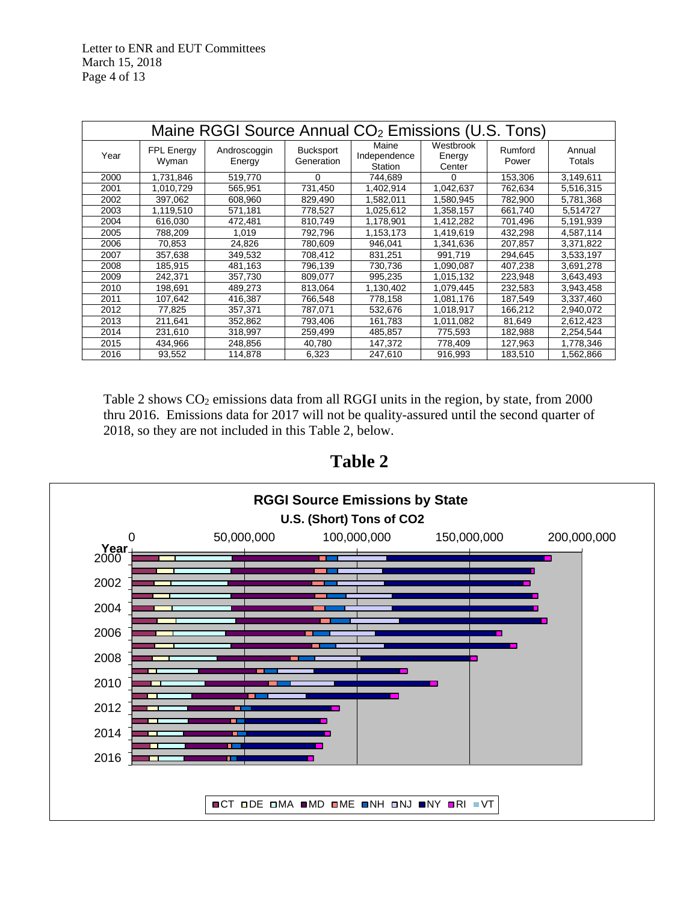| Maine RGGI Source Annual CO <sub>2</sub> Emissions (U.S. Tons) |                     |                        |                                |                                  |                               |                  |                  |  |
|----------------------------------------------------------------|---------------------|------------------------|--------------------------------|----------------------------------|-------------------------------|------------------|------------------|--|
| Year                                                           | FPL Energy<br>Wyman | Androscoggin<br>Energy | <b>Bucksport</b><br>Generation | Maine<br>Independence<br>Station | Westbrook<br>Energy<br>Center | Rumford<br>Power | Annual<br>Totals |  |
| 2000                                                           | 1,731,846           | 519,770                | 0                              | 744,689                          | 0                             | 153,306          | 3,149,611        |  |
| 2001                                                           | 1,010,729           | 565,951                | 731,450                        | 1,402,914                        | 1,042,637                     | 762,634          | 5,516,315        |  |
| 2002                                                           | 397,062             | 608,960                | 829,490                        | 1,582,011                        | 1,580,945                     | 782,900          | 5,781,368        |  |
| 2003                                                           | 1,119,510           | 571,181                | 778,527                        | 1,025,612                        | 1,358,157                     | 661,740          | 5.514727         |  |
| 2004                                                           | 616,030             | 472,481                | 810,749                        | 1,178,901                        | 1,412,282                     | 701,496          | 5,191,939        |  |
| 2005                                                           | 788,209             | 1,019                  | 792,796                        | 1,153,173                        | 1,419,619                     | 432,298          | 4,587,114        |  |
| 2006                                                           | 70,853              | 24,826                 | 780,609                        | 946.041                          | 1,341,636                     | 207,857          | 3,371,822        |  |
| 2007                                                           | 357,638             | 349,532                | 708,412                        | 831,251                          | 991,719                       | 294,645          | 3,533,197        |  |
| 2008                                                           | 185,915             | 481,163                | 796,139                        | 730,736                          | 1,090,087                     | 407,238          | 3,691,278        |  |
| 2009                                                           | 242,371             | 357,730                | 809,077                        | 995,235                          | 1,015,132                     | 223,948          | 3,643,493        |  |
| 2010                                                           | 198,691             | 489,273                | 813,064                        | 1,130,402                        | 1,079,445                     | 232,583          | 3,943,458        |  |
| 2011                                                           | 107,642             | 416,387                | 766,548                        | 778,158                          | 1,081,176                     | 187,549          | 3,337,460        |  |
| 2012                                                           | 77,825              | 357,371                | 787,071                        | 532,676                          | 1,018,917                     | 166,212          | 2,940,072        |  |
| 2013                                                           | 211,641             | 352,862                | 793,406                        | 161,783                          | 1,011,082                     | 81,649           | 2,612,423        |  |
| 2014                                                           | 231,610             | 318,997                | 259,499                        | 485,857                          | 775,593                       | 182,988          | 2,254,544        |  |
| 2015                                                           | 434,966             | 248,856                | 40,780                         | 147,372                          | 778,409                       | 127,963          | 1,778,346        |  |
| 2016                                                           | 93,552              | 114,878                | 6,323                          | 247,610                          | 916,993                       | 183,510          | 1,562,866        |  |

Table 2 shows CO<sub>2</sub> emissions data from all RGGI units in the region, by state, from 2000 thru 2016. Emissions data for 2017 will not be quality-assured until the second quarter of 2018, so they are not included in this Table 2, below.



**Table 2**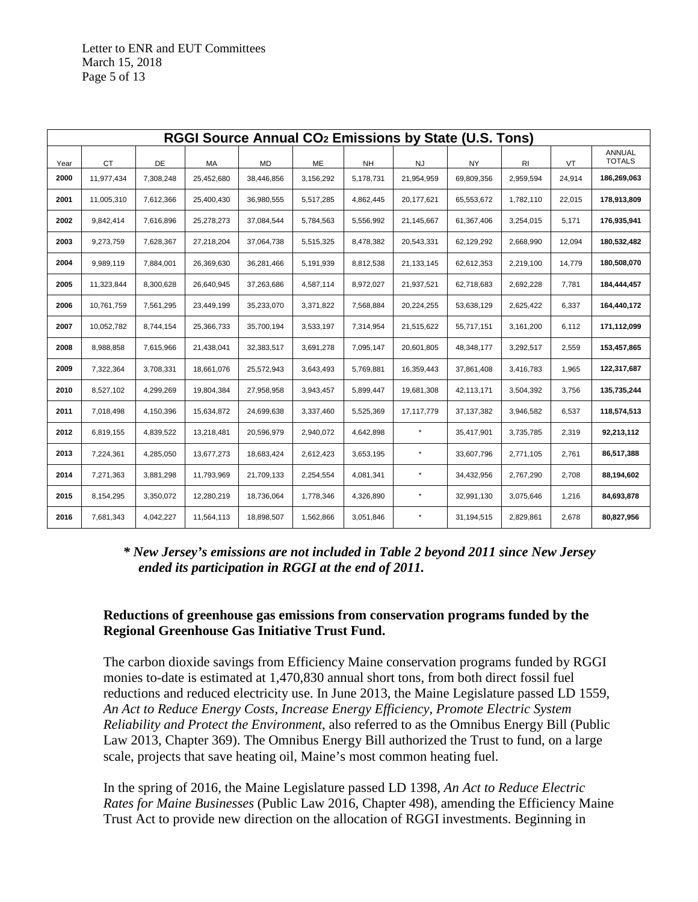| RGGI Source Annual CO <sub>2</sub> Emissions by State (U.S. Tons) |            |           |            |            |           |           |            |              |           |        |                         |
|-------------------------------------------------------------------|------------|-----------|------------|------------|-----------|-----------|------------|--------------|-----------|--------|-------------------------|
| Year                                                              | CT         | DE        | MA         | <b>MD</b>  | ME        | <b>NH</b> | <b>NJ</b>  | <b>NY</b>    | RI        | VT     | ANNUAL<br><b>TOTALS</b> |
| 2000                                                              | 11,977,434 | 7,308,248 | 25,452,680 | 38,446,856 | 3,156,292 | 5,178,731 | 21,954,959 | 69,809,356   | 2,959,594 | 24,914 | 186,269,063             |
| 2001                                                              | 11,005,310 | 7,612,366 | 25,400,430 | 36,980,555 | 5,517,285 | 4,862,445 | 20,177,621 | 65,553,672   | 1,782,110 | 22,015 | 178,913,809             |
| 2002                                                              | 9,842,414  | 7,616,896 | 25,278,273 | 37,084,544 | 5,784,563 | 5,556,992 | 21,145,667 | 61,367,406   | 3,254,015 | 5,171  | 176,935,941             |
| 2003                                                              | 9,273,759  | 7,628,367 | 27,218,204 | 37,064,738 | 5,515,325 | 8,478,382 | 20,543,331 | 62,129,292   | 2,668,990 | 12,094 | 180,532,482             |
| 2004                                                              | 9,989,119  | 7,884,001 | 26,369,630 | 36,281,466 | 5,191,939 | 8,812,538 | 21,133,145 | 62,612,353   | 2,219,100 | 14,779 | 180,508,070             |
| 2005                                                              | 11,323,844 | 8,300,628 | 26,640,945 | 37,263,686 | 4,587,114 | 8,972,027 | 21,937,521 | 62,718,683   | 2,692,228 | 7,781  | 184,444,457             |
| 2006                                                              | 10,761,759 | 7,561,295 | 23,449,199 | 35,233,070 | 3,371,822 | 7,568,884 | 20,224,255 | 53,638,129   | 2,625,422 | 6,337  | 164,440,172             |
| 2007                                                              | 10,052,782 | 8,744,154 | 25,366,733 | 35,700,194 | 3,533,197 | 7,314,954 | 21,515,622 | 55,717,151   | 3,161,200 | 6,112  | 171,112,099             |
| 2008                                                              | 8,988,858  | 7,615,966 | 21,438,041 | 32,383,517 | 3,691,278 | 7,095,147 | 20,601,805 | 48,348,177   | 3,292,517 | 2,559  | 153,457,865             |
| 2009                                                              | 7,322,364  | 3,708,331 | 18,661,076 | 25,572,943 | 3,643,493 | 5,769,881 | 16,359,443 | 37,861,408   | 3,416,783 | 1,965  | 122,317,687             |
| 2010                                                              | 8,527,102  | 4,299,269 | 19,804,384 | 27,958,958 | 3,943,457 | 5,899,447 | 19,681,308 | 42,113,171   | 3,504,392 | 3,756  | 135,735,244             |
| 2011                                                              | 7,018,498  | 4,150,396 | 15,634,872 | 24,699,638 | 3,337,460 | 5,525,369 | 17,117,779 | 37, 137, 382 | 3,946,582 | 6,537  | 118,574,513             |
| 2012                                                              | 6,819,155  | 4,839,522 | 13,218,481 | 20,596,979 | 2,940,072 | 4,642,898 | $\star$    | 35,417,901   | 3,735,785 | 2,319  | 92,213,112              |
| 2013                                                              | 7,224,361  | 4,285,050 | 13,677,273 | 18,683,424 | 2,612,423 | 3,653,195 | $\star$    | 33,607,796   | 2,771,105 | 2,761  | 86,517,388              |
| 2014                                                              | 7,271,363  | 3,881,298 | 11,793,969 | 21,709,133 | 2,254,554 | 4,081,341 | $\star$    | 34,432,956   | 2,767,290 | 2,708  | 88,194,602              |
| 2015                                                              | 8,154,295  | 3,350,072 | 12,280,219 | 18,736,064 | 1,778,346 | 4,326,890 | $\star$    | 32,991,130   | 3,075,646 | 1,216  | 84,693,878              |
| 2016                                                              | 7,681,343  | 4,042,227 | 11,564,113 | 18,898,507 | 1,562,866 | 3,051,846 | $\star$    | 31,194,515   | 2,829,861 | 2,678  | 80,827,956              |

# *\* New Jersey's emissions are not included in Table 2 beyond 2011 since New Jersey ended its participation in RGGI at the end of 2011.*

# **Reductions of greenhouse gas emissions from conservation programs funded by the Regional Greenhouse Gas Initiative Trust Fund.**

The carbon dioxide savings from Efficiency Maine conservation programs funded by RGGI monies to-date is estimated at 1,470,830 annual short tons, from both direct fossil fuel reductions and reduced electricity use. In June 2013, the Maine Legislature passed LD 1559, *An Act to Reduce Energy Costs, Increase Energy Efficiency, Promote Electric System Reliability and Protect the Environment*, also referred to as the Omnibus Energy Bill (Public Law 2013, Chapter 369). The Omnibus Energy Bill authorized the Trust to fund, on a large scale, projects that save heating oil, Maine's most common heating fuel.

In the spring of 2016, the Maine Legislature passed LD 1398, *An Act to Reduce Electric Rates for Maine Businesses* (Public Law 2016, Chapter 498), amending the Efficiency Maine Trust Act to provide new direction on the allocation of RGGI investments. Beginning in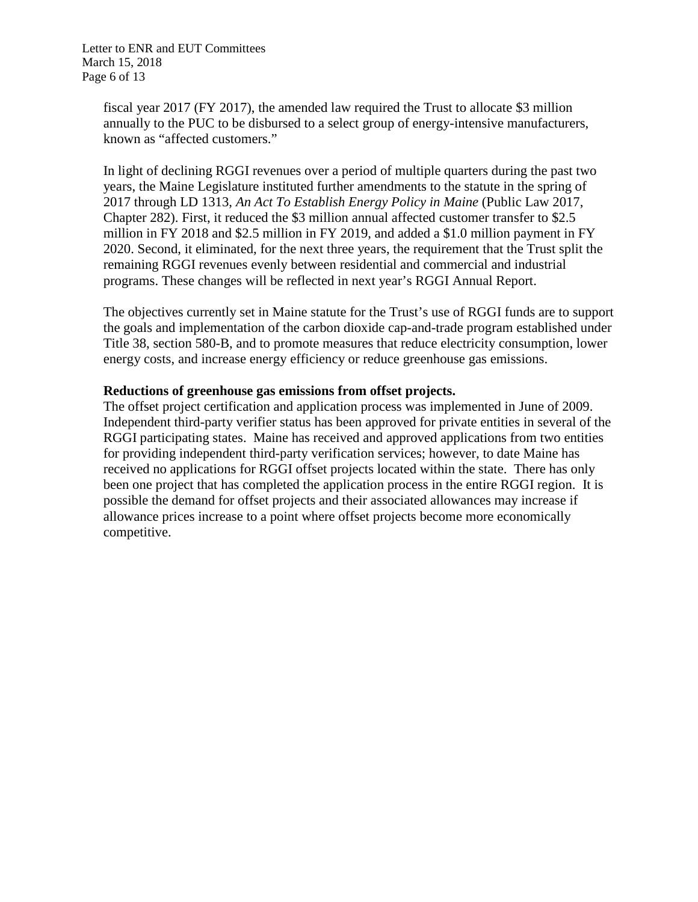Letter to ENR and EUT Committees March 15, 2018 Page 6 of 13

> fiscal year 2017 (FY 2017), the amended law required the Trust to allocate \$3 million annually to the PUC to be disbursed to a select group of energy-intensive manufacturers, known as "affected customers."

In light of declining RGGI revenues over a period of multiple quarters during the past two years, the Maine Legislature instituted further amendments to the statute in the spring of 2017 through LD 1313, *An Act To Establish Energy Policy in Maine* (Public Law 2017, Chapter 282). First, it reduced the \$3 million annual affected customer transfer to \$2.5 million in FY 2018 and \$2.5 million in FY 2019, and added a \$1.0 million payment in FY 2020. Second, it eliminated, for the next three years, the requirement that the Trust split the remaining RGGI revenues evenly between residential and commercial and industrial programs. These changes will be reflected in next year's RGGI Annual Report.

The objectives currently set in Maine statute for the Trust's use of RGGI funds are to support the goals and implementation of the carbon dioxide cap-and-trade program established under Title 38, section 580-B, and to promote measures that reduce electricity consumption, lower energy costs, and increase energy efficiency or reduce greenhouse gas emissions.

# **Reductions of greenhouse gas emissions from offset projects.**

The offset project certification and application process was implemented in June of 2009. Independent third-party verifier status has been approved for private entities in several of the RGGI participating states. Maine has received and approved applications from two entities for providing independent third-party verification services; however, to date Maine has received no applications for RGGI offset projects located within the state. There has only been one project that has completed the application process in the entire RGGI region. It is possible the demand for offset projects and their associated allowances may increase if allowance prices increase to a point where offset projects become more economically competitive.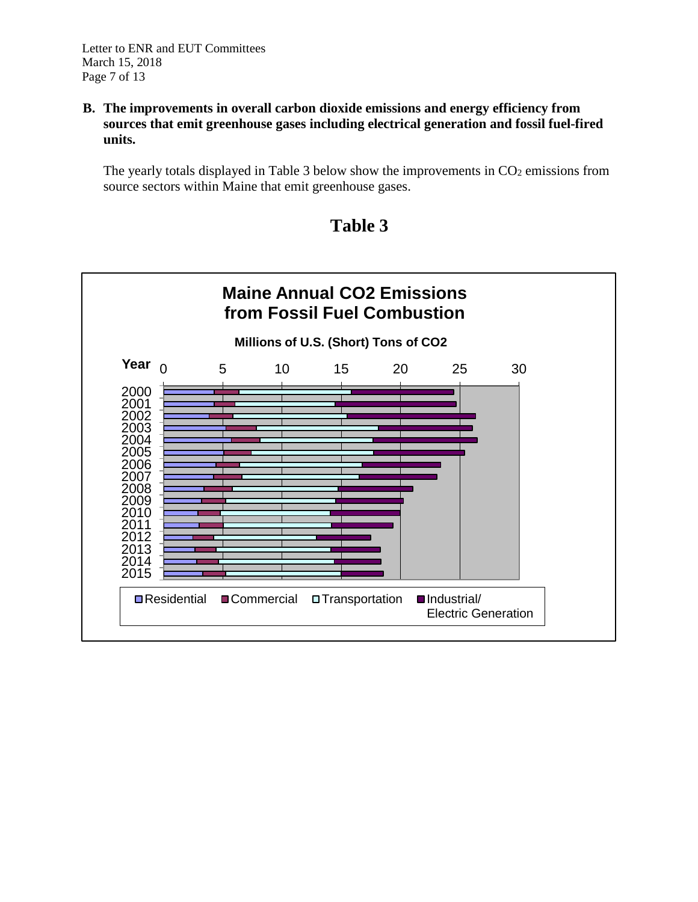#### **B. The improvements in overall carbon dioxide emissions and energy efficiency from sources that emit greenhouse gases including electrical generation and fossil fuel-fired units.**

The yearly totals displayed in Table 3 below show the improvements in  $CO<sub>2</sub>$  emissions from source sectors within Maine that emit greenhouse gases.



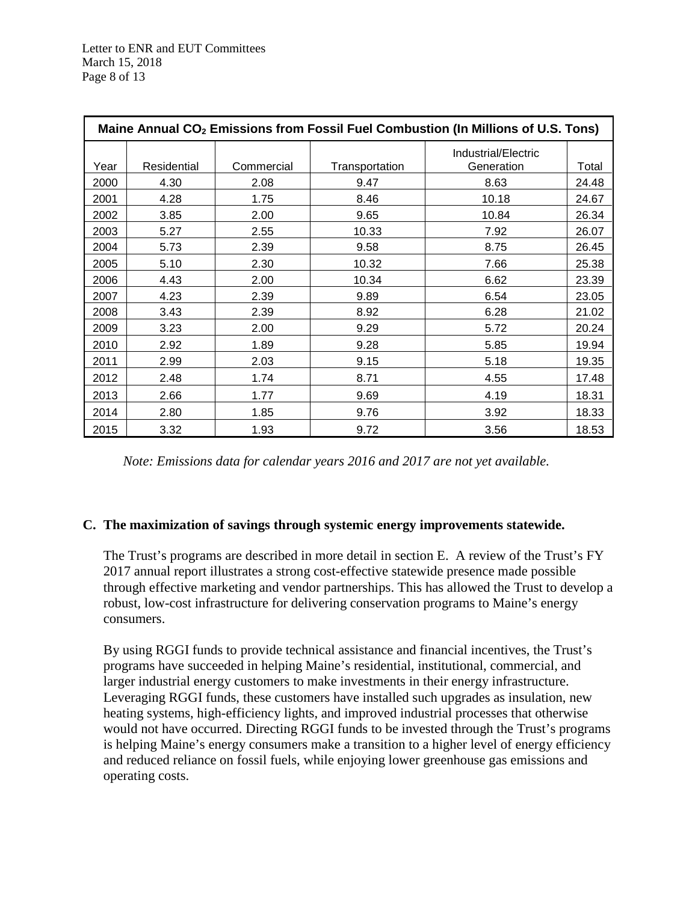| Maine Annual CO <sub>2</sub> Emissions from Fossil Fuel Combustion (In Millions of U.S. Tons) |             |            |                |                                   |       |  |  |  |
|-----------------------------------------------------------------------------------------------|-------------|------------|----------------|-----------------------------------|-------|--|--|--|
| Year                                                                                          | Residential | Commercial | Transportation | Industrial/Electric<br>Generation | Total |  |  |  |
| 2000                                                                                          | 4.30        | 2.08       | 9.47           | 8.63                              | 24.48 |  |  |  |
| 2001                                                                                          | 4.28        | 1.75       | 8.46           | 10.18                             | 24.67 |  |  |  |
| 2002                                                                                          | 3.85        | 2.00       | 9.65           | 10.84                             | 26.34 |  |  |  |
| 2003                                                                                          | 5.27        | 2.55       | 10.33          | 7.92                              | 26.07 |  |  |  |
| 2004                                                                                          | 5.73        | 2.39       | 9.58           | 8.75                              | 26.45 |  |  |  |
| 2005                                                                                          | 5.10        | 2.30       | 10.32          | 7.66                              | 25.38 |  |  |  |
| 2006                                                                                          | 4.43        | 2.00       | 10.34          | 6.62                              | 23.39 |  |  |  |
| 2007                                                                                          | 4.23        | 2.39       | 9.89           | 6.54                              | 23.05 |  |  |  |
| 2008                                                                                          | 3.43        | 2.39       | 8.92           | 6.28                              | 21.02 |  |  |  |
| 2009                                                                                          | 3.23        | 2.00       | 9.29           | 5.72                              | 20.24 |  |  |  |
| 2010                                                                                          | 2.92        | 1.89       | 9.28           | 5.85                              | 19.94 |  |  |  |
| 2011                                                                                          | 2.99        | 2.03       | 9.15           | 5.18                              | 19.35 |  |  |  |
| 2012                                                                                          | 2.48        | 1.74       | 8.71           | 4.55                              | 17.48 |  |  |  |
| 2013                                                                                          | 2.66        | 1.77       | 9.69           | 4.19                              | 18.31 |  |  |  |
| 2014                                                                                          | 2.80        | 1.85       | 9.76           | 3.92                              | 18.33 |  |  |  |
| 2015                                                                                          | 3.32        | 1.93       | 9.72           | 3.56                              | 18.53 |  |  |  |

*Note: Emissions data for calendar years 2016 and 2017 are not yet available.*

#### **C. The maximization of savings through systemic energy improvements statewide.**

The Trust's programs are described in more detail in section E. A review of the Trust's FY 2017 annual report illustrates a strong cost-effective statewide presence made possible through effective marketing and vendor partnerships. This has allowed the Trust to develop a robust, low-cost infrastructure for delivering conservation programs to Maine's energy consumers.

By using RGGI funds to provide technical assistance and financial incentives, the Trust's programs have succeeded in helping Maine's residential, institutional, commercial, and larger industrial energy customers to make investments in their energy infrastructure. Leveraging RGGI funds, these customers have installed such upgrades as insulation, new heating systems, high-efficiency lights, and improved industrial processes that otherwise would not have occurred. Directing RGGI funds to be invested through the Trust's programs is helping Maine's energy consumers make a transition to a higher level of energy efficiency and reduced reliance on fossil fuels, while enjoying lower greenhouse gas emissions and operating costs.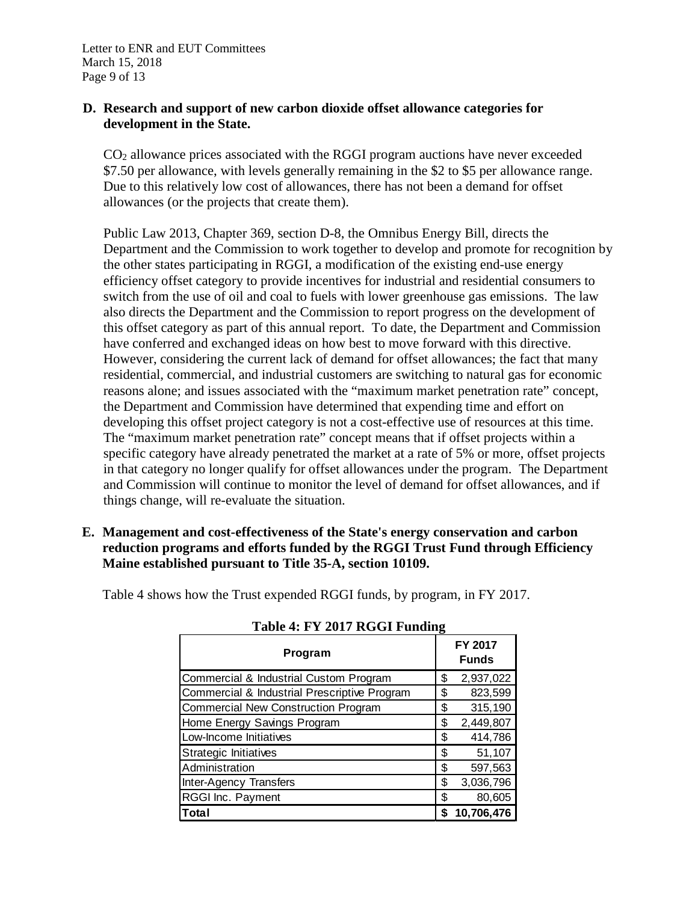Letter to ENR and EUT Committees March 15, 2018 Page 9 of 13

#### **D. Research and support of new carbon dioxide offset allowance categories for development in the State.**

CO2 allowance prices associated with the RGGI program auctions have never exceeded \$7.50 per allowance, with levels generally remaining in the \$2 to \$5 per allowance range. Due to this relatively low cost of allowances, there has not been a demand for offset allowances (or the projects that create them).

Public Law 2013, Chapter 369, section D-8, the Omnibus Energy Bill, directs the Department and the Commission to work together to develop and promote for recognition by the other states participating in RGGI, a modification of the existing end-use energy efficiency offset category to provide incentives for industrial and residential consumers to switch from the use of oil and coal to fuels with lower greenhouse gas emissions. The law also directs the Department and the Commission to report progress on the development of this offset category as part of this annual report. To date, the Department and Commission have conferred and exchanged ideas on how best to move forward with this directive. However, considering the current lack of demand for offset allowances; the fact that many residential, commercial, and industrial customers are switching to natural gas for economic reasons alone; and issues associated with the "maximum market penetration rate" concept, the Department and Commission have determined that expending time and effort on developing this offset project category is not a cost-effective use of resources at this time. The "maximum market penetration rate" concept means that if offset projects within a specific category have already penetrated the market at a rate of 5% or more, offset projects in that category no longer qualify for offset allowances under the program. The Department and Commission will continue to monitor the level of demand for offset allowances, and if things change, will re-evaluate the situation.

**E. Management and cost-effectiveness of the State's energy conservation and carbon reduction programs and efforts funded by the RGGI Trust Fund through Efficiency Maine established pursuant to Title 35-A, section 10109.**

Table 4 shows how the Trust expended RGGI funds, by program, in FY 2017.

| Program                                      |    | <b>FY 2017</b><br><b>Funds</b> |  |  |
|----------------------------------------------|----|--------------------------------|--|--|
| Commercial & Industrial Custom Program       | \$ | 2,937,022                      |  |  |
| Commercial & Industrial Prescriptive Program | \$ | 823,599                        |  |  |
| <b>Commercial New Construction Program</b>   | \$ | 315,190                        |  |  |
| Home Energy Savings Program                  | \$ | 2,449,807                      |  |  |
| Low-Income Initiatives                       | \$ | 414,786                        |  |  |
| Strategic Initiatives                        | \$ | 51,107                         |  |  |
| Administration                               | \$ | 597,563                        |  |  |
| Inter-Agency Transfers                       | \$ | 3,036,796                      |  |  |
| RGGI Inc. Payment                            | S  | 80,605                         |  |  |
| Total                                        | S  | 10,706,476                     |  |  |

**Table 4: FY 2017 RGGI Funding**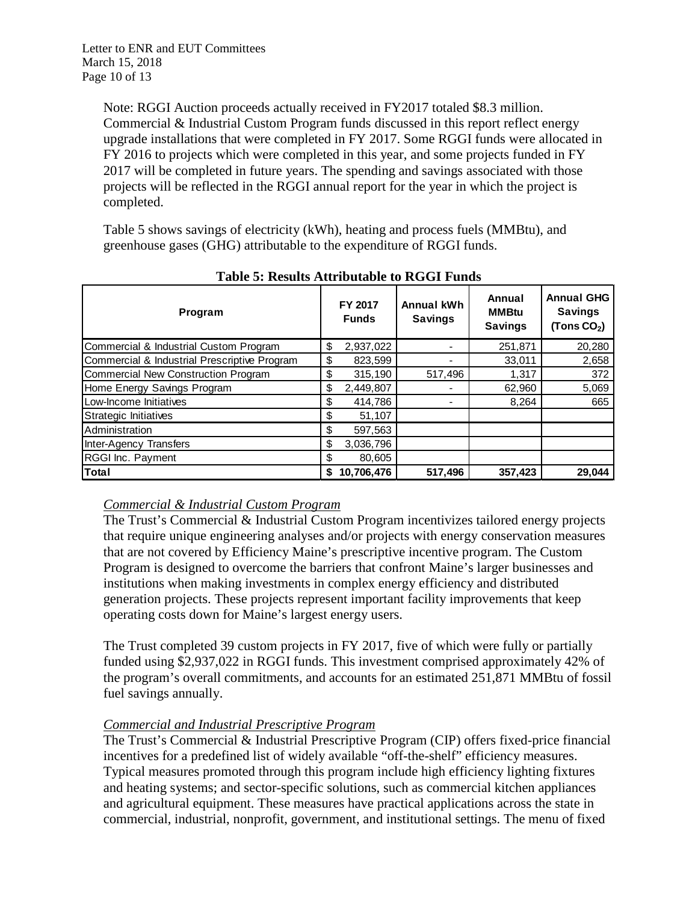Note: RGGI Auction proceeds actually received in FY2017 totaled \$8.3 million. Commercial & Industrial Custom Program funds discussed in this report reflect energy upgrade installations that were completed in FY 2017. Some RGGI funds were allocated in FY 2016 to projects which were completed in this year, and some projects funded in FY 2017 will be completed in future years. The spending and savings associated with those projects will be reflected in the RGGI annual report for the year in which the project is completed.

Table 5 shows savings of electricity (kWh), heating and process fuels (MMBtu), and greenhouse gases (GHG) attributable to the expenditure of RGGI funds.

| Program                                      |    | FY 2017<br><b>Funds</b> | <b>Annual kWh</b><br><b>Savings</b> | Annual<br><b>MMBtu</b><br><b>Savings</b> | <b>Annual GHG</b><br><b>Savings</b><br>(Tons $CO2$ ) |  |
|----------------------------------------------|----|-------------------------|-------------------------------------|------------------------------------------|------------------------------------------------------|--|
| Commercial & Industrial Custom Program       | \$ | 2,937,022               |                                     | 251,871                                  | 20,280                                               |  |
| Commercial & Industrial Prescriptive Program | \$ | 823,599                 |                                     | 33,011                                   | 2,658                                                |  |
| Commercial New Construction Program          | \$ | 315,190                 | 517,496                             | 1,317                                    | 372                                                  |  |
| Home Energy Savings Program                  | \$ | 2,449,807               |                                     | 62,960                                   | 5,069                                                |  |
| Low-Income Initiatives                       | \$ | 414,786                 |                                     | 8,264                                    | 665                                                  |  |
| Strategic Initiatives                        | S  | 51,107                  |                                     |                                          |                                                      |  |
| Administration                               | \$ | 597,563                 |                                     |                                          |                                                      |  |
| Inter-Agency Transfers                       | \$ | 3,036,796               |                                     |                                          |                                                      |  |
| RGGI Inc. Payment                            | \$ | 80,605                  |                                     |                                          |                                                      |  |
| <b>Total</b>                                 | S  | 10.706.476              | 517,496                             | 357.423                                  | 29,044                                               |  |

**Table 5: Results Attributable to RGGI Funds**

# *Commercial & Industrial Custom Program*

The Trust's Commercial & Industrial Custom Program incentivizes tailored energy projects that require unique engineering analyses and/or projects with energy conservation measures that are not covered by Efficiency Maine's prescriptive incentive program. The Custom Program is designed to overcome the barriers that confront Maine's larger businesses and institutions when making investments in complex energy efficiency and distributed generation projects. These projects represent important facility improvements that keep operating costs down for Maine's largest energy users.

The Trust completed 39 custom projects in FY 2017, five of which were fully or partially funded using \$2,937,022 in RGGI funds. This investment comprised approximately 42% of the program's overall commitments, and accounts for an estimated 251,871 MMBtu of fossil fuel savings annually.

# *Commercial and Industrial Prescriptive Program*

The Trust's Commercial & Industrial Prescriptive Program (CIP) offers fixed-price financial incentives for a predefined list of widely available "off-the-shelf" efficiency measures. Typical measures promoted through this program include high efficiency lighting fixtures and heating systems; and sector-specific solutions, such as commercial kitchen appliances and agricultural equipment. These measures have practical applications across the state in commercial, industrial, nonprofit, government, and institutional settings. The menu of fixed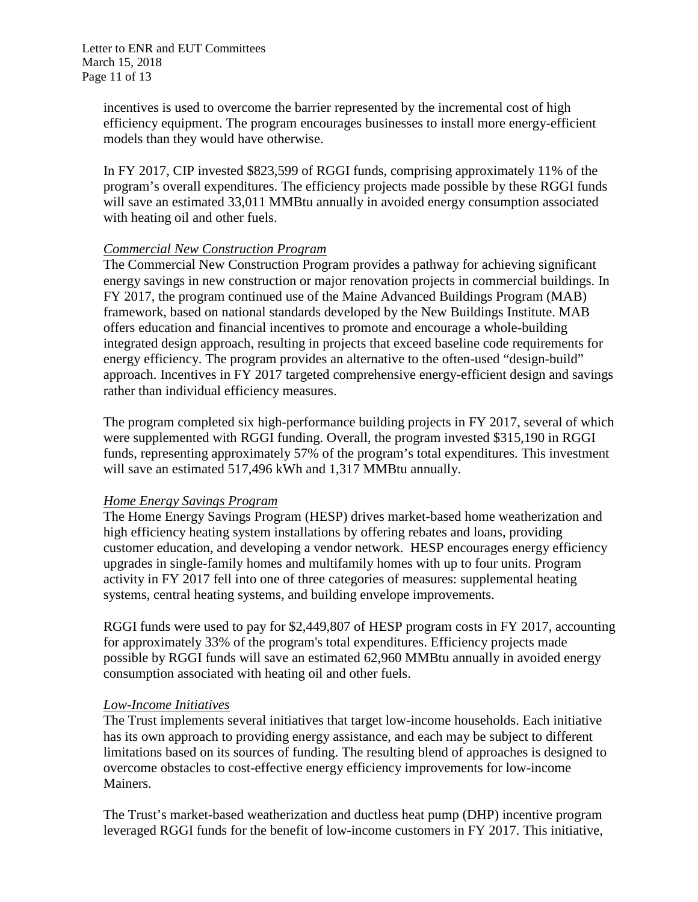incentives is used to overcome the barrier represented by the incremental cost of high efficiency equipment. The program encourages businesses to install more energy-efficient models than they would have otherwise.

In FY 2017, CIP invested \$823,599 of RGGI funds, comprising approximately 11% of the program's overall expenditures. The efficiency projects made possible by these RGGI funds will save an estimated 33,011 MMBtu annually in avoided energy consumption associated with heating oil and other fuels.

#### *Commercial New Construction Program*

The Commercial New Construction Program provides a pathway for achieving significant energy savings in new construction or major renovation projects in commercial buildings. In FY 2017, the program continued use of the Maine Advanced Buildings Program (MAB) framework, based on national standards developed by the New Buildings Institute. MAB offers education and financial incentives to promote and encourage a whole-building integrated design approach, resulting in projects that exceed baseline code requirements for energy efficiency. The program provides an alternative to the often-used "design-build" approach. Incentives in FY 2017 targeted comprehensive energy-efficient design and savings rather than individual efficiency measures.

The program completed six high-performance building projects in FY 2017, several of which were supplemented with RGGI funding. Overall, the program invested \$315,190 in RGGI funds, representing approximately 57% of the program's total expenditures. This investment will save an estimated 517,496 kWh and 1,317 MMBtu annually.

# *Home Energy Savings Program*

The Home Energy Savings Program (HESP) drives market-based home weatherization and high efficiency heating system installations by offering rebates and loans, providing customer education, and developing a vendor network. HESP encourages energy efficiency upgrades in single-family homes and multifamily homes with up to four units. Program activity in FY 2017 fell into one of three categories of measures: supplemental heating systems, central heating systems, and building envelope improvements.

RGGI funds were used to pay for \$2,449,807 of HESP program costs in FY 2017, accounting for approximately 33% of the program's total expenditures. Efficiency projects made possible by RGGI funds will save an estimated 62,960 MMBtu annually in avoided energy consumption associated with heating oil and other fuels.

# *Low-Income Initiatives*

The Trust implements several initiatives that target low-income households. Each initiative has its own approach to providing energy assistance, and each may be subject to different limitations based on its sources of funding. The resulting blend of approaches is designed to overcome obstacles to cost-effective energy efficiency improvements for low-income Mainers.

The Trust's market-based weatherization and ductless heat pump (DHP) incentive program leveraged RGGI funds for the benefit of low-income customers in FY 2017. This initiative,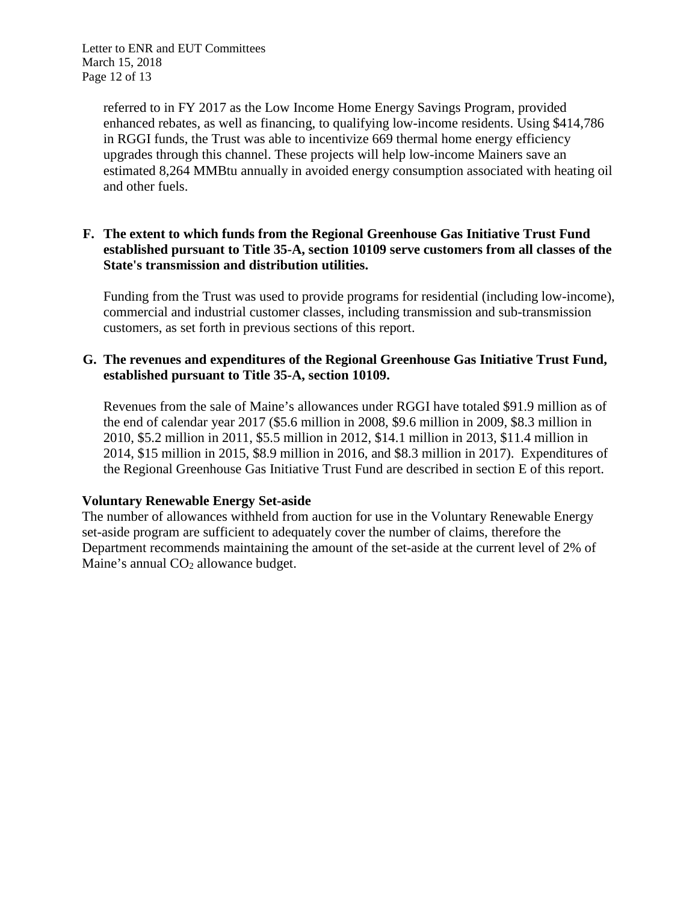Letter to ENR and EUT Committees March 15, 2018 Page 12 of 13

> referred to in FY 2017 as the Low Income Home Energy Savings Program, provided enhanced rebates, as well as financing, to qualifying low-income residents. Using \$414,786 in RGGI funds, the Trust was able to incentivize 669 thermal home energy efficiency upgrades through this channel. These projects will help low-income Mainers save an estimated 8,264 MMBtu annually in avoided energy consumption associated with heating oil and other fuels.

### **F. The extent to which funds from the Regional Greenhouse Gas Initiative Trust Fund established pursuant to Title 35-A, section 10109 serve customers from all classes of the State's transmission and distribution utilities.**

Funding from the Trust was used to provide programs for residential (including low-income), commercial and industrial customer classes, including transmission and sub-transmission customers, as set forth in previous sections of this report.

#### **G. The revenues and expenditures of the Regional Greenhouse Gas Initiative Trust Fund, established pursuant to Title 35-A, section 10109.**

Revenues from the sale of Maine's allowances under RGGI have totaled \$91.9 million as of the end of calendar year 2017 (\$5.6 million in 2008, \$9.6 million in 2009, \$8.3 million in 2010, \$5.2 million in 2011, \$5.5 million in 2012, \$14.1 million in 2013, \$11.4 million in 2014, \$15 million in 2015, \$8.9 million in 2016, and \$8.3 million in 2017). Expenditures of the Regional Greenhouse Gas Initiative Trust Fund are described in section E of this report.

# **Voluntary Renewable Energy Set-aside**

The number of allowances withheld from auction for use in the Voluntary Renewable Energy set-aside program are sufficient to adequately cover the number of claims, therefore the Department recommends maintaining the amount of the set-aside at the current level of 2% of Maine's annual CO<sub>2</sub> allowance budget.